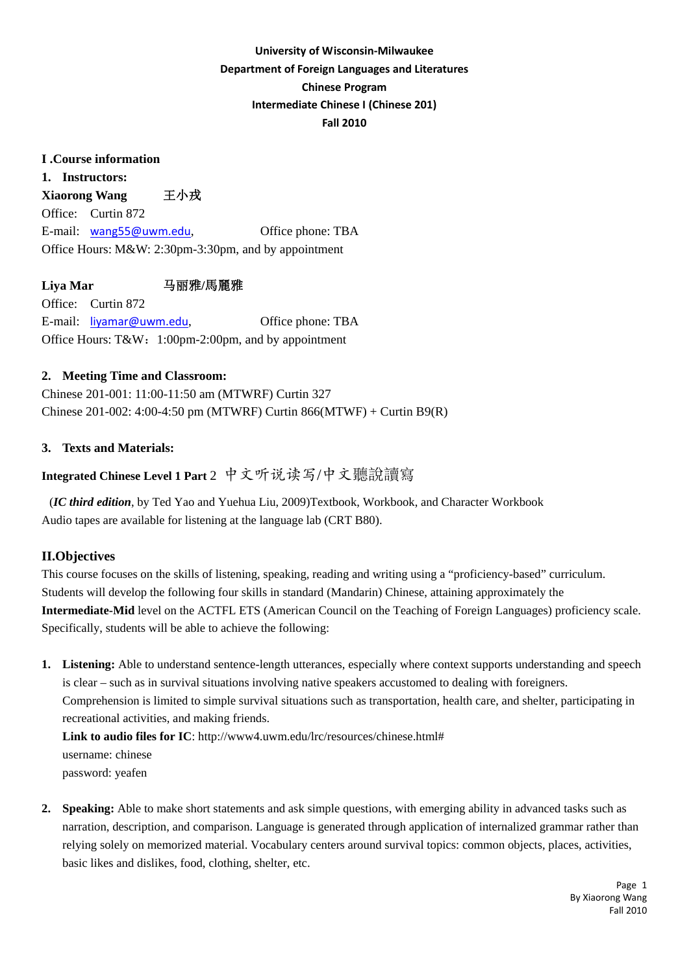# **University of Wisconsin‐Milwaukee Department of Foreign Languages and Literatures Chinese Program Intermediate Chinese I (Chinese 201) Fall 2010**

## **I .Course information**

**1. Instructors: Xiaorong Wang** 王小戎 Office: Curtin 872 E-mail: [wang55@uwm.edu](mailto:wang55@uwm.edu), Office phone: TBA Office Hours: M&W: 2:30pm-3:30pm, and by appointment

**Liya Mar** 马丽雅**/**馬麗雅

Office: Curtin 872 E-mail: [liyamar@uwm.edu](mailto:liyamar@uwm.edu), Office phone: TBA Office Hours: T&W:1:00pm-2:00pm, and by appointment

## **2. Meeting Time and Classroom:**

Chinese 201-001: 11:00-11:50 am (MTWRF) Curtin 327 Chinese 201-002: 4:00-4:50 pm (MTWRF) Curtin 866(MTWF) + Curtin B9(R)

## **3. Texts and Materials:**

# **Integrated Chinese Level 1 Part** 2 中文听说读写/中文聽說讀寫

(*IC third edition*, by Ted Yao and Yuehua Liu, 2009)Textbook, Workbook, and Character Workbook Audio tapes are available for listening at the language lab (CRT B80).

## **II.Objectives**

This course focuses on the skills of listening, speaking, reading and writing using a "proficiency-based" curriculum. Students will develop the following four skills in standard (Mandarin) Chinese, attaining approximately the **Intermediate-Mid** level on the ACTFL ETS (American Council on the Teaching of Foreign Languages) proficiency scale. Specifically, students will be able to achieve the following:

**1. Listening:** Able to understand sentence-length utterances, especially where context supports understanding and speech is clear – such as in survival situations involving native speakers accustomed to dealing with foreigners. Comprehension is limited to simple survival situations such as transportation, health care, and shelter, participating in recreational activities, and making friends.

**Link to audio files for IC**: http://www4.uwm.edu/lrc/resources/chinese.html# username: chinese password: yeafen

**2. Speaking:** Able to make short statements and ask simple questions, with emerging ability in advanced tasks such as narration, description, and comparison. Language is generated through application of internalized grammar rather than relying solely on memorized material. Vocabulary centers around survival topics: common objects, places, activities, basic likes and dislikes, food, clothing, shelter, etc.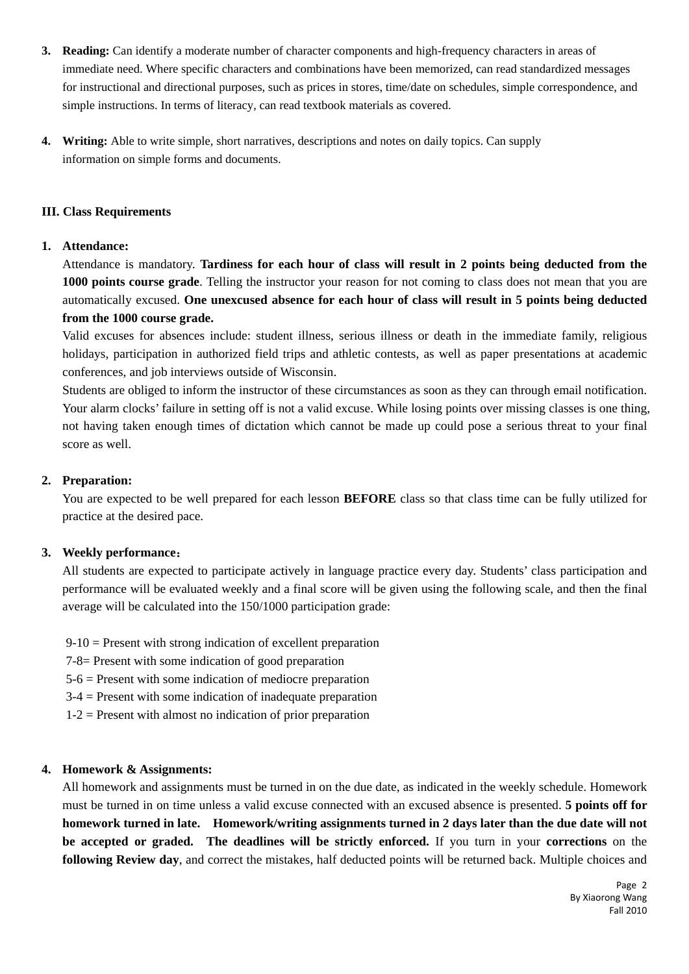- **3. Reading:** Can identify a moderate number of character components and high-frequency characters in areas of immediate need. Where specific characters and combinations have been memorized, can read standardized messages for instructional and directional purposes, such as prices in stores, time/date on schedules, simple correspondence, and simple instructions. In terms of literacy, can read textbook materials as covered.
- **4. Writing:** Able to write simple, short narratives, descriptions and notes on daily topics. Can supply information on simple forms and documents.

### **III. Class Requirements**

### **1. Attendance:**

Attendance is mandatory. **Tardiness for each hour of class will result in 2 points being deducted from the 1000 points course grade**. Telling the instructor your reason for not coming to class does not mean that you are automatically excused. **One unexcused absence for each hour of class will result in 5 points being deducted from the 1000 course grade.**

Valid excuses for absences include: student illness, serious illness or death in the immediate family, religious holidays, participation in authorized field trips and athletic contests, as well as paper presentations at academic conferences, and job interviews outside of Wisconsin.

Students are obliged to inform the instructor of these circumstances as soon as they can through email notification. Your alarm clocks' failure in setting off is not a valid excuse. While losing points over missing classes is one thing, not having taken enough times of dictation which cannot be made up could pose a serious threat to your final score as well.

### **2. Preparation:**

You are expected to be well prepared for each lesson **BEFORE** class so that class time can be fully utilized for practice at the desired pace.

## **3. Weekly performance**:

All students are expected to participate actively in language practice every day. Students' class participation and performance will be evaluated weekly and a final score will be given using the following scale, and then the final average will be calculated into the 150/1000 participation grade:

 $9-10$  = Present with strong indication of excellent preparation

7-8= Present with some indication of good preparation

5-6 = Present with some indication of mediocre preparation

3-4 = Present with some indication of inadequate preparation

 $1-2$  = Present with almost no indication of prior preparation

## **4. Homework & Assignments:**

All homework and assignments must be turned in on the due date, as indicated in the weekly schedule. Homework must be turned in on time unless a valid excuse connected with an excused absence is presented. **5 points off for homework turned in late. Homework/writing assignments turned in 2 days later than the due date will not be accepted or graded. The deadlines will be strictly enforced.** If you turn in your **corrections** on the **following Review day**, and correct the mistakes, half deducted points will be returned back. Multiple choices and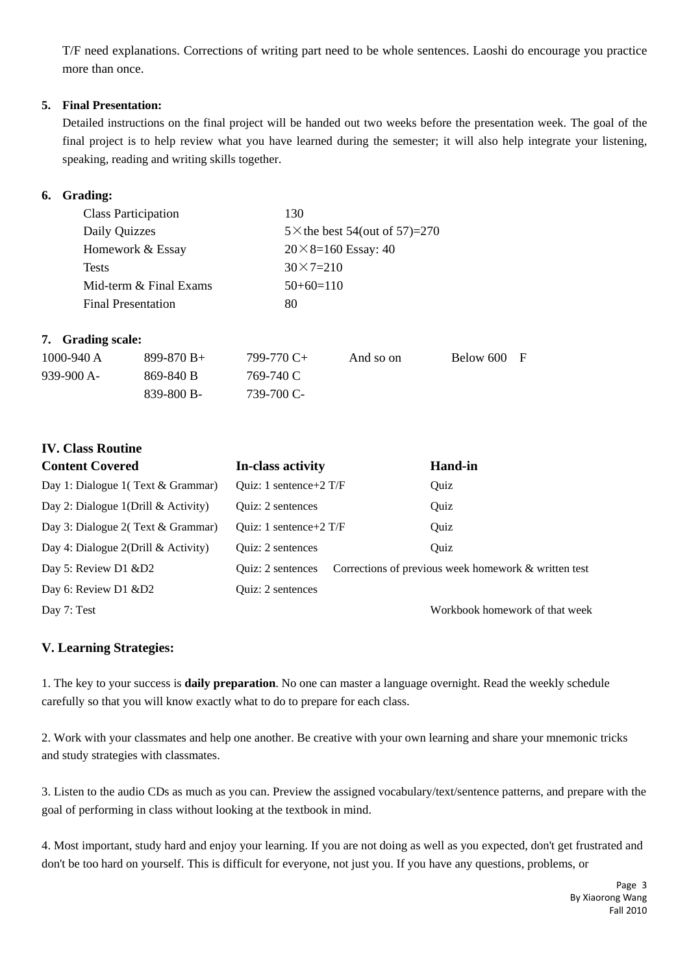T/F need explanations. Corrections of writing part need to be whole sentences. Laoshi do encourage you practice more than once.

### **5. Final Presentation:**

Detailed instructions on the final project will be handed out two weeks before the presentation week. The goal of the final project is to help review what you have learned during the semester; it will also help integrate your listening, speaking, reading and writing skills together.

## **6. Grading:**

| <b>Class Participation</b> | 130                                   |
|----------------------------|---------------------------------------|
| Daily Quizzes              | $5 \times$ the best 54(out of 57)=270 |
| Homework & Essay           | $20 \times 8 = 160$ Essay: 40         |
| <b>Tests</b>               | $30 \times 7 = 210$                   |
| Mid-term & Final Exams     | $50+60=110$                           |
| <b>Final Presentation</b>  | 80                                    |
|                            |                                       |

## **7. Grading scale:**

| 1000-940 A  | $899 - 870 B +$ | 799-770 C+ | And so on | Below 600 | F |
|-------------|-----------------|------------|-----------|-----------|---|
| $939-900A-$ | 869-840 B       | 769-740 C  |           |           |   |
|             | 839-800 B-      | 739-700 C- |           |           |   |

# **IV. Class Routine**

| <b>Content Covered</b>                 | In-class activity          | <b>Hand-in</b>                                       |
|----------------------------------------|----------------------------|------------------------------------------------------|
| Day 1: Dialogue 1(Text & Grammar)      | Ouiz: 1 sentence + $2$ T/F | Quiz                                                 |
| Day 2: Dialogue 1(Drill $&$ Activity)  | Quiz: 2 sentences          | Quiz                                                 |
| Day 3: Dialogue 2(Text & Grammar)      | Ouiz: 1 sentence + $2$ T/F | Ouiz                                                 |
| Day 4: Dialogue $2(Drill \&$ Activity) | <b>Ouiz: 2 sentences</b>   | Ouiz                                                 |
| Day 5: Review D1 &D2                   | Quiz: 2 sentences          | Corrections of previous week homework & written test |
| Day 6: Review D1 &D2                   | <b>Ouiz: 2 sentences</b>   |                                                      |
| Day 7: Test                            |                            | Workbook homework of that week                       |

## **V. Learning Strategies:**

1. The key to your success is **daily preparation**. No one can master a language overnight. Read the weekly schedule carefully so that you will know exactly what to do to prepare for each class.

2. Work with your classmates and help one another. Be creative with your own learning and share your mnemonic tricks and study strategies with classmates.

3. Listen to the audio CDs as much as you can. Preview the assigned vocabulary/text/sentence patterns, and prepare with the goal of performing in class without looking at the textbook in mind.

4. Most important, study hard and enjoy your learning. If you are not doing as well as you expected, don't get frustrated and don't be too hard on yourself. This is difficult for everyone, not just you. If you have any questions, problems, or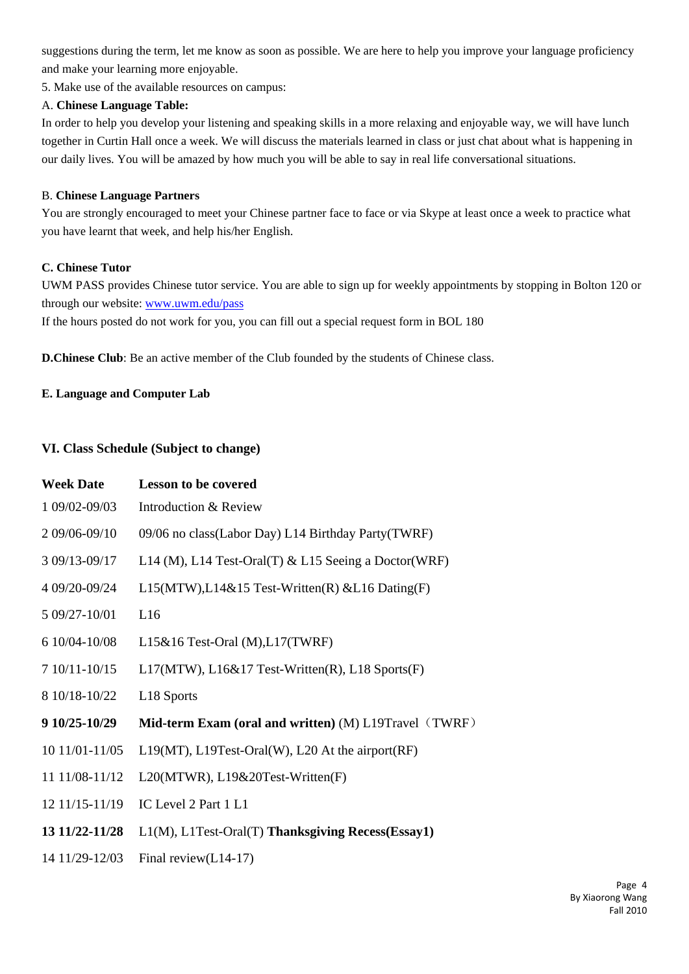suggestions during the term, let me know as soon as possible. We are here to help you improve your language proficiency and make your learning more enjoyable.

5. Make use of the available resources on campus:

### A. **Chinese Language Table:**

In order to help you develop your listening and speaking skills in a more relaxing and enjoyable way, we will have lunch together in Curtin Hall once a week. We will discuss the materials learned in class or just chat about what is happening in our daily lives. You will be amazed by how much you will be able to say in real life conversational situations.

### B. **Chinese Language Partners**

You are strongly encouraged to meet your Chinese partner face to face or via Skype at least once a week to practice what you have learnt that week, and help his/her English.

### **C. Chinese Tutor**

UWM PASS provides Chinese tutor service. You are able to sign up for weekly appointments by stopping in Bolton 120 or through our website: [www.uwm.edu/pass](http://www.uwm.edu/pass)

If the hours posted do not work for you, you can fill out a special request form in BOL 180

**D.Chinese Club**: Be an active member of the Club founded by the students of Chinese class.

### **E. Language and Computer Lab**

## **VI. Class Schedule (Subject to change)**

| <b>Week Date</b> | <b>Lesson to be covered</b>                            |
|------------------|--------------------------------------------------------|
| 1 09/02-09/03    | Introduction & Review                                  |
| 2 09/06-09/10    | 09/06 no class(Labor Day) L14 Birthday Party(TWRF)     |
| 3 09/13-09/17    | L14 (M), L14 Test-Oral(T) & L15 Seeing a Doctor (WRF)  |
| 4 09/20-09/24    | $L15(MTW), L14&15$ Test-Written(R) & L16 Dating(F)     |
| 5 09/27-10/01    | L16                                                    |
| 6 10/04-10/08    | $L15\&16$ Test-Oral (M), $L17$ (TWRF)                  |
| 7 10/11-10/15    | $L17(MTW)$ , $L16&17$ Test-Written(R), $L18$ Sports(F) |
| 8 10/18-10/22    | L18 Sports                                             |
| 9 10/25-10/29    | Mid-term Exam (oral and written) (M) L19Travel (TWRF)  |
| 10 11/01-11/05   | L19(MT), L19Test-Oral(W), L20 At the airport(RF)       |
| 11 11/08-11/12   | L20(MTWR), L19&20Test-Written(F)                       |
| 12 11/15-11/19   | IC Level 2 Part 1 L1                                   |
| 13 11/22-11/28   | L1(M), L1Test-Oral(T) Thanksgiving Recess(Essay1)      |
| 14 11/29-12/03   | Final review $(L14-17)$                                |